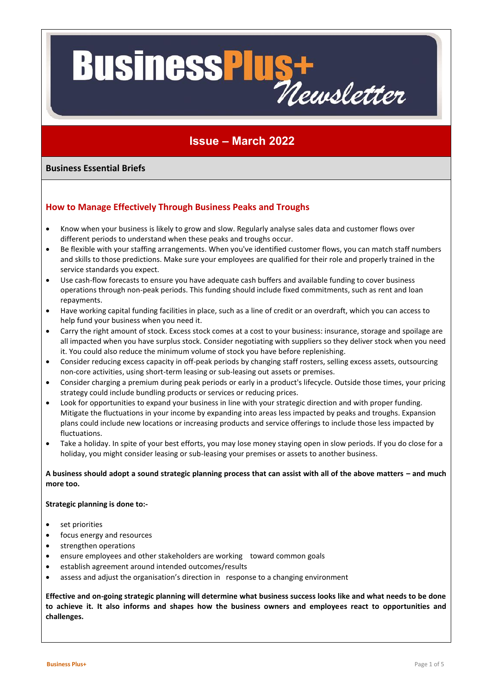# **Business<sup>P</sup>** US+<br>Newsletter

### **Issue – March 2022**

#### **Business Essential Briefs**

#### **How to Manage Effectively Through Business Peaks and Troughs**

- Know when your business is likely to grow and slow. Regularly analyse sales data and customer flows over different periods to understand when these peaks and troughs occur.
- Be flexible with your staffing arrangements. When you've identified customer flows, you can match staff numbers and skills to those predictions. Make sure your employees are qualified for their role and properly trained in the service standards you expect.
- Use cash-flow forecasts to ensure you have adequate cash buffers and available funding to cover business operations through non-peak periods. This funding should include fixed commitments, such as rent and loan repayments.
- Have working capital funding facilities in place, such as a line of credit or an overdraft, which you can access to help fund your business when you need it.
- Carry the right amount of stock. Excess stock comes at a cost to your business: insurance, storage and spoilage are all impacted when you have surplus stock. Consider negotiating with suppliers so they deliver stock when you need it. You could also reduce the minimum volume of stock you have before replenishing.
- Consider reducing excess capacity in off-peak periods by changing staff rosters, selling excess assets, outsourcing non-core activities, using short-term leasing or sub-leasing out assets or premises.
- Consider charging a premium during peak periods or early in a product's lifecycle. Outside those times, your pricing strategy could include bundling products or services or reducing prices.
- Look for opportunities to expand your business in line with your strategic direction and with proper funding. Mitigate the fluctuations in your income by expanding into areas less impacted by peaks and troughs. Expansion plans could include new locations or increasing products and service offerings to include those less impacted by fluctuations.
- Take a holiday. In spite of your best efforts, you may lose money staying open in slow periods. If you do close for a holiday, you might consider leasing or sub-leasing your premises or assets to another business.

#### **A business should adopt a sound strategic planning process that can assist with all of the above matters – and much more too.**

#### **Strategic planning is done to:-**

- set priorities
- focus energy and resources
- strengthen operations
- ensure employees and other stakeholders are working toward common goals
- establish agreement around intended outcomes/results
- assess and adjust the organisation's direction in response to a changing environment

**Effective and on-going strategic planning will determine what business success looks like and what needs to be done to achieve it. It also informs and shapes how the business owners and employees react to opportunities and challenges.**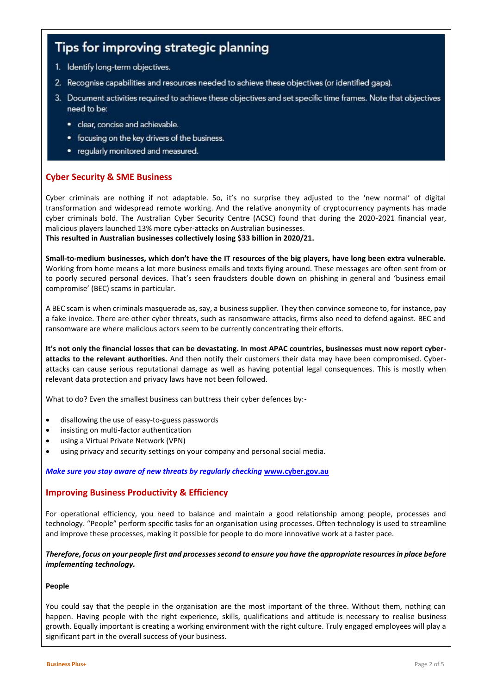## Tips for improving strategic planning

- 1. Identify long-term objectives.
- 2. Recognise capabilities and resources needed to achieve these objectives (or identified gaps).
- 3. Document activities required to achieve these objectives and set specific time frames. Note that objectives need to be:
	- · clear, concise and achievable.
	- focusing on the key drivers of the business.
	- regularly monitored and measured.

#### **Cyber Security & SME Business**

Cyber criminals are nothing if not adaptable. So, it's no surprise they adjusted to the 'new normal' of digital transformation and widespread remote working. And the relative anonymity of cryptocurrency payments has made cyber criminals bold. The Australian Cyber Security Centre (ACSC) found that during the 2020-2021 financial year, malicious players launched 13% more cyber-attacks on Australian businesses. **This resulted in Australian businesses collectively losing \$33 billion in 2020/21.**

**Small-to-medium businesses, which don't have the IT resources of the big players, have long been extra vulnerable.** Working from home means a lot more business emails and texts flying around. These messages are often sent from or to poorly secured personal devices. That's seen fraudsters double down on phishing in general and 'business email compromise' (BEC) scams in particular.

A BEC scam is when criminals masquerade as, say, a business supplier. They then convince someone to, for instance, pay a fake invoice. There are other cyber threats, such as ransomware attacks, firms also need to defend against. BEC and ransomware are where malicious actors seem to be currently concentrating their efforts.

**It's not only the financial losses that can be devastating. In most APAC countries, businesses must now report cyberattacks to the relevant authorities.** And then notify their customers their data may have been compromised. Cyberattacks can cause serious reputational damage as well as having potential legal consequences. This is mostly when relevant data protection and privacy laws have not been followed.

What to do? Even the smallest business can buttress their cyber defences by:-

- disallowing the use of easy-to-guess passwords
- insisting on multi-factor authentication
- using a Virtual Private Network (VPN)
- using privacy and security settings on your company and personal social media.

#### *Make sure you stay aware of new threats by regularly checking* **[www.cyber.gov.au](http://www.cyber.gov.au/)**

#### **Improving Business Productivity & Efficiency**

For operational efficiency, you need to balance and maintain a good relationship among people, processes and technology. "People" perform specific tasks for an organisation using processes. Often technology is used to streamline and improve these processes, making it possible for people to do more innovative work at a faster pace.

*Therefore, focus on your people first and processes second to ensure you have the appropriate resources in place before implementing technology.*

#### **People**

You could say that the people in the organisation are the most important of the three. Without them, nothing can happen. Having people with the right experience, skills, qualifications and attitude is necessary to realise business growth. Equally important is creating a working environment with the right culture. Truly engaged employees will play a significant part in the overall success of your business.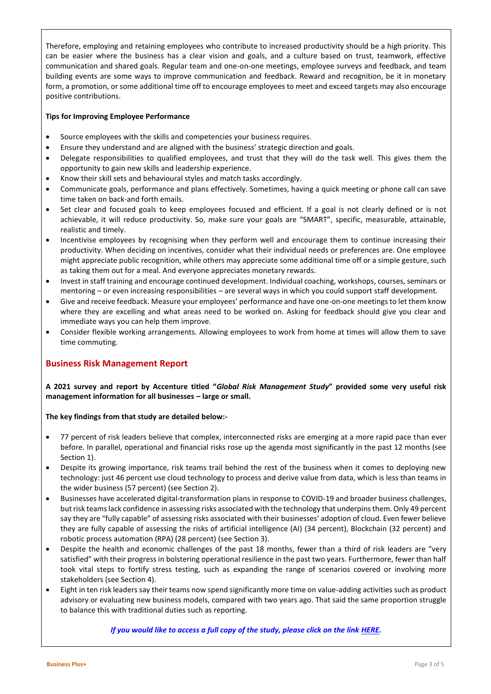Therefore, employing and retaining employees who contribute to increased productivity should be a high priority. This can be easier where the business has a clear vision and goals, and a culture based on trust, teamwork, effective communication and shared goals. Regular team and one-on-one meetings, employee surveys and feedback, and team building events are some ways to improve communication and feedback. Reward and recognition, be it in monetary form, a promotion, or some additional time off to encourage employees to meet and exceed targets may also encourage positive contributions.

#### **Tips for Improving Employee Performance**

- Source employees with the skills and competencies your business requires.
- Ensure they understand and are aligned with the business' strategic direction and goals.
- Delegate responsibilities to qualified employees, and trust that they will do the task well. This gives them the opportunity to gain new skills and leadership experience.
- Know their skill sets and behavioural styles and match tasks accordingly.
- Communicate goals, performance and plans effectively. Sometimes, having a quick meeting or phone call can save time taken on back-and forth emails.
- Set clear and focused goals to keep employees focused and efficient. If a goal is not clearly defined or is not achievable, it will reduce productivity. So, make sure your goals are "SMART", specific, measurable, attainable, realistic and timely.
- Incentivise employees by recognising when they perform well and encourage them to continue increasing their productivity. When deciding on incentives, consider what their individual needs or preferences are. One employee might appreciate public recognition, while others may appreciate some additional time off or a simple gesture, such as taking them out for a meal. And everyone appreciates monetary rewards.
- Invest in staff training and encourage continued development. Individual coaching, workshops, courses, seminars or mentoring – or even increasing responsibilities – are several ways in which you could support staff development.
- Give and receive feedback. Measure your employees' performance and have one-on-one meetings to let them know where they are excelling and what areas need to be worked on. Asking for feedback should give you clear and immediate ways you can help them improve.
- Consider flexible working arrangements. Allowing employees to work from home at times will allow them to save time commuting.

#### **Business Risk Management Report**

**A 2021 survey and report by Accenture titled "***Global Risk Management Study***" provided some very useful risk management information for all businesses – large or small.** 

#### **The key findings from that study are detailed below:-**

- 77 percent of risk leaders believe that complex, interconnected risks are emerging at a more rapid pace than ever before. In parallel, operational and financial risks rose up the agenda most significantly in the past 12 months (see Section 1).
- Despite its growing importance, risk teams trail behind the rest of the business when it comes to deploying new technology: just 46 percent use cloud technology to process and derive value from data, which is less than teams in the wider business (57 percent) (see Section 2).
- Businesses have accelerated digital-transformation plans in response to COVID-19 and broader business challenges, but risk teams lack confidence in assessing risks associated with the technology that underpins them. Only 49 percent say they are "fully capable" of assessing risks associated with their businesses' adoption of cloud. Even fewer believe they are fully capable of assessing the risks of artificial intelligence (AI) (34 percent), Blockchain (32 percent) and robotic process automation (RPA) (28 percent) (see Section 3).
- Despite the health and economic challenges of the past 18 months, fewer than a third of risk leaders are "very satisfied" with their progress in bolstering operational resilience in the past two years. Furthermore, fewer than half took vital steps to fortify stress testing, such as expanding the range of scenarios covered or involving more stakeholders (see Section 4).
- Eight in ten risk leaders say their teams now spend significantly more time on value-adding activities such as product advisory or evaluating new business models, compared with two years ago. That said the same proportion struggle to balance this with traditional duties such as reporting.

#### *If you would like to access a full copy of the study, please click on the link [HERE.](https://cbswtax.com.au/wp-content/uploads/2022/03/Accenture-2021-Global-Risk-Management-Study2.pdf)*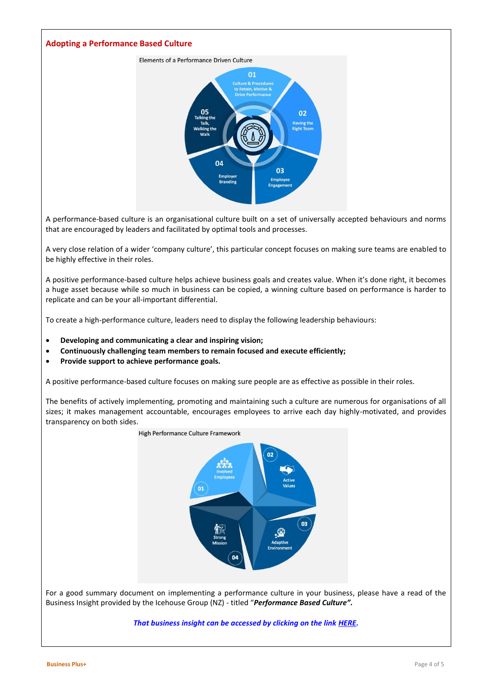#### **Adopting a Performance Based Culture**



A performance-based culture is an organisational culture built on a set of universally accepted behaviours and norms that are encouraged by leaders and facilitated by optimal tools and processes.

A very close relation of a wider 'company culture', this particular concept focuses on making sure teams are enabled to be highly effective in their roles.

A positive performance-based culture helps achieve business goals and creates value. When it's done right, it becomes a huge asset because while so much in business can be copied, a winning culture based on performance is harder to replicate and can be your all-important differential.

To create a high-performance culture, leaders need to display the following leadership behaviours:

- **Developing and communicating a clear and inspiring vision;**
- **Continuously challenging team members to remain focused and execute efficiently;**
- **Provide support to achieve performance goals.**

A positive performance-based culture focuses on making sure people are as effective as possible in their roles.

The benefits of actively implementing, promoting and maintaining such a culture are numerous for organisations of all sizes; it makes management accountable, encourages employees to arrive each day highly-motivated, and provides transparency on both sides.



For a good summary document on implementing a performance culture in your business, please have a read of the Business Insight provided by the Icehouse Group (NZ) - titled "*Performance Based Culture".* 

#### *That business insight can be accessed by clicking on the link [HERE.](https://cbswtax.com.au/wp-content/uploads/2022/03/Icehouse-Insights-Performance-based-Culture.pdf)*